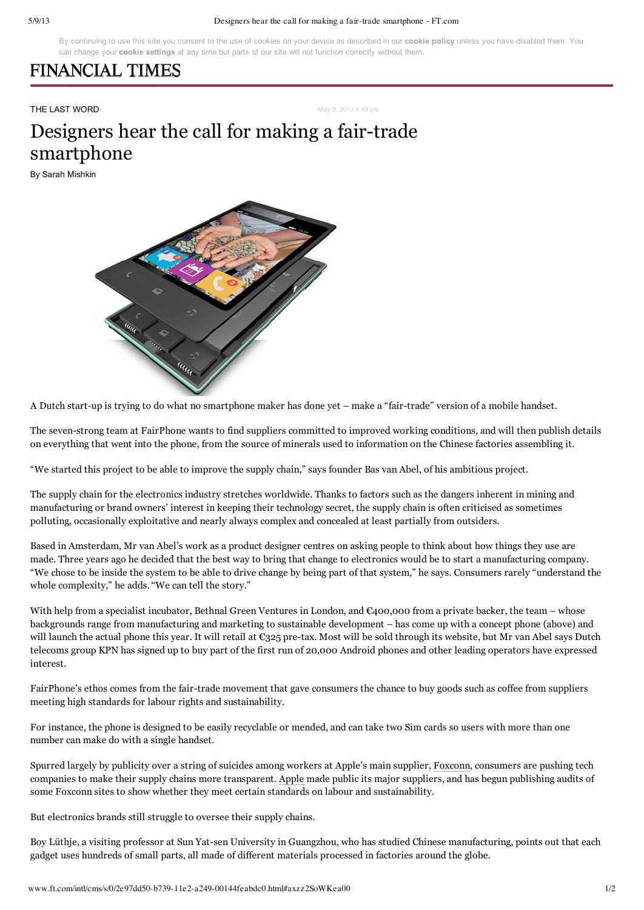### 5/9/13 Designers hear the call for making a fair-trade smartphone - FT.com

By continuing to use this site you consent to the use of cookies on your device as described in our **[cookie](http://www.ft.com/cookiepolicy) policy** unless you have disabled them. You can change your **cookie [settings](http://www.ft.com/cookiemanagement)** at any time but parts of our site will not function correctly without them.

## **FINANCIAL TIMES**

**THE LAST WORD May 9, 2013 4:49 pm** 

# Designers hear the call for making a fair-trade smartphone

By Sarah Mishkin



A Dutch start-up is trying to do what no smartphone maker has done yet – make a "fair-trade" version of a mobile handset.

The seven-strong team at FairPhone wants to find suppliers committed to improved working conditions, and will then publish details on everything that went into the phone, from the source of minerals used to information on the Chinese factories assembling it.

"We started this project to be able to improve the supply chain," says founder Bas van Abel, of his ambitious project.

The supply chain for the electronics industry stretches worldwide. Thanks to factors such as the dangers inherent in mining and manufacturing or brand owners' interest in keeping their technology secret, the supply chain is often criticised as sometimes polluting, occasionally exploitative and nearly always complex and concealed at least partially from outsiders.

Based in Amsterdam, Mr van Abel's work as a product designer centres on asking people to think about how things they use are made. Three years ago he decided that the best way to bring that change to electronics would be to start a manufacturing company. "We chose to be inside the system to be able to drive change by being part of that system," he says. Consumers rarely "understand the whole complexity," he adds. "We can tell the story."

With help from a specialist incubator, Bethnal Green Ventures in London, and €400,000 from a private backer, the team – whose backgrounds range from manufacturing and marketing to sustainable development – has come up with a concept phone (above) and will launch the actual phone this year. It will retail at  $\mathfrak{C}_3$ 25 pre-tax. Most will be sold through its website, but Mr van Abel says Dutch telecoms group KPN has signed up to buy part of the first run of 20,000 Android phones and other leading operators have expressed interest.

FairPhone's ethos comes from the fair-trade movement that gave consumers the chance to buy goods such as coffee from suppliers meeting high standards for labour rights and sustainability.

For instance, the phone is designed to be easily recyclable or mended, and can take two Sim cards so users with more than one number can make do with a single handset.

Spurred largely by publicity over a string of suicides among workers at Apple's main supplier, [Foxconn,](http://markets.ft.com/tearsheets/performance.asp?s=tw:2354) consumers are pushing tech companies to make their supply chains more transparent. [Apple](http://markets.ft.com/tearsheets/performance.asp?s=us:AAPL) made public its major suppliers, and has begun publishing audits of some Foxconn sites to show whether they meet certain standards on labour and sustainability.

But electronics brands still struggle to oversee their supply chains.

Boy Lüthje, a visiting professor at Sun Yat-sen University in Guangzhou, who has studied Chinese manufacturing, points out that each gadget uses hundreds of small parts, all made of different materials processed in factories around the globe.